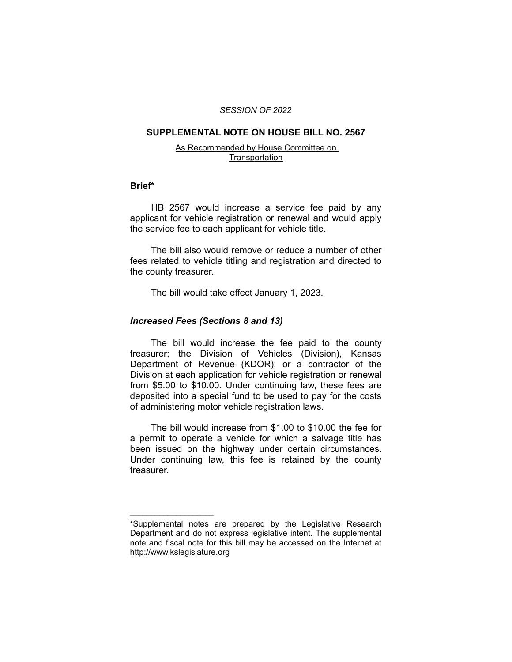#### *SESSION OF 2022*

### **SUPPLEMENTAL NOTE ON HOUSE BILL NO. 2567**

#### As Recommended by House Committee on **Transportation**

### **Brief\***

HB 2567 would increase a service fee paid by any applicant for vehicle registration or renewal and would apply the service fee to each applicant for vehicle title.

The bill also would remove or reduce a number of other fees related to vehicle titling and registration and directed to the county treasurer.

The bill would take effect January 1, 2023.

### *Increased Fees (Sections 8 and 13)*

 $\overline{\phantom{a}}$  , where  $\overline{\phantom{a}}$  , where  $\overline{\phantom{a}}$ 

The bill would increase the fee paid to the county treasurer; the Division of Vehicles (Division), Kansas Department of Revenue (KDOR); or a contractor of the Division at each application for vehicle registration or renewal from \$5.00 to \$10.00. Under continuing law, these fees are deposited into a special fund to be used to pay for the costs of administering motor vehicle registration laws.

The bill would increase from \$1.00 to \$10.00 the fee for a permit to operate a vehicle for which a salvage title has been issued on the highway under certain circumstances. Under continuing law, this fee is retained by the county treasurer.

<sup>\*</sup>Supplemental notes are prepared by the Legislative Research Department and do not express legislative intent. The supplemental note and fiscal note for this bill may be accessed on the Internet at http://www.kslegislature.org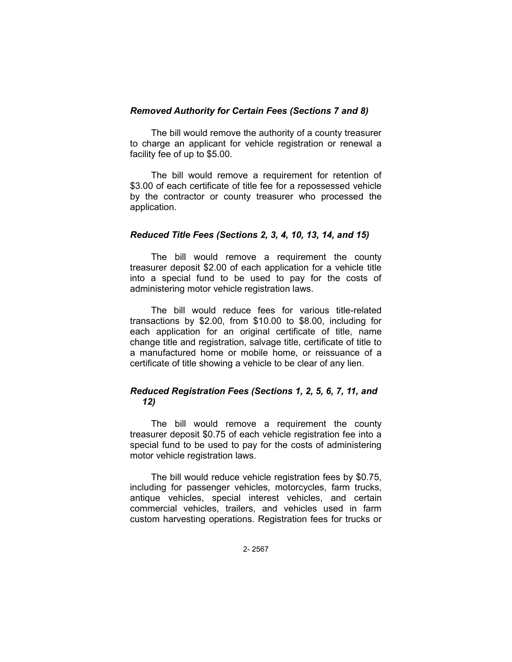### *Removed Authority for Certain Fees (Sections 7 and 8)*

The bill would remove the authority of a county treasurer to charge an applicant for vehicle registration or renewal a facility fee of up to \$5.00.

The bill would remove a requirement for retention of \$3.00 of each certificate of title fee for a repossessed vehicle by the contractor or county treasurer who processed the application.

## *Reduced Title Fees (Sections 2, 3, 4, 10, 13, 14, and 15)*

The bill would remove a requirement the county treasurer deposit \$2.00 of each application for a vehicle title into a special fund to be used to pay for the costs of administering motor vehicle registration laws.

The bill would reduce fees for various title-related transactions by \$2.00, from \$10.00 to \$8.00, including for each application for an original certificate of title, name change title and registration, salvage title, certificate of title to a manufactured home or mobile home, or reissuance of a certificate of title showing a vehicle to be clear of any lien.

# *Reduced Registration Fees (Sections 1, 2, 5, 6, 7, 11, and 12)*

The bill would remove a requirement the county treasurer deposit \$0.75 of each vehicle registration fee into a special fund to be used to pay for the costs of administering motor vehicle registration laws.

The bill would reduce vehicle registration fees by \$0.75, including for passenger vehicles, motorcycles, farm trucks, antique vehicles, special interest vehicles, and certain commercial vehicles, trailers, and vehicles used in farm custom harvesting operations. Registration fees for trucks or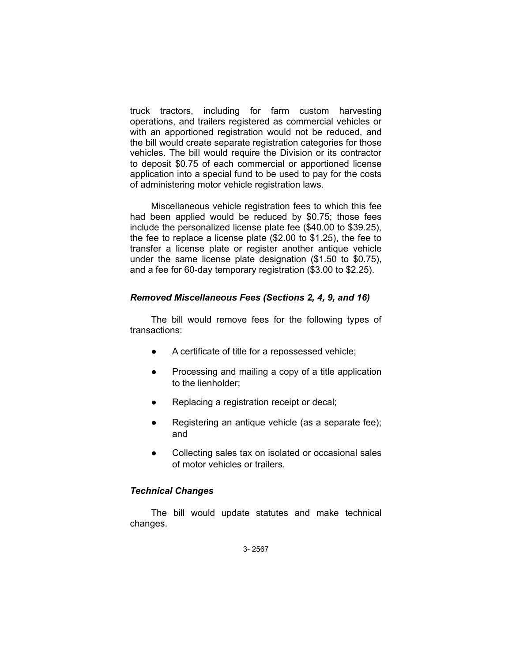truck tractors, including for farm custom harvesting operations, and trailers registered as commercial vehicles or with an apportioned registration would not be reduced, and the bill would create separate registration categories for those vehicles. The bill would require the Division or its contractor to deposit \$0.75 of each commercial or apportioned license application into a special fund to be used to pay for the costs of administering motor vehicle registration laws.

Miscellaneous vehicle registration fees to which this fee had been applied would be reduced by \$0.75; those fees include the personalized license plate fee (\$40.00 to \$39.25), the fee to replace a license plate (\$2.00 to \$1.25), the fee to transfer a license plate or register another antique vehicle under the same license plate designation (\$1.50 to \$0.75), and a fee for 60-day temporary registration (\$3.00 to \$2.25).

## *Removed Miscellaneous Fees (Sections 2, 4, 9, and 16)*

The bill would remove fees for the following types of transactions:

- A certificate of title for a repossessed vehicle;
- Processing and mailing a copy of a title application to the lienholder;
- Replacing a registration receipt or decal;
- Registering an antique vehicle (as a separate fee); and
- Collecting sales tax on isolated or occasional sales of motor vehicles or trailers.

## *Technical Changes*

The bill would update statutes and make technical changes.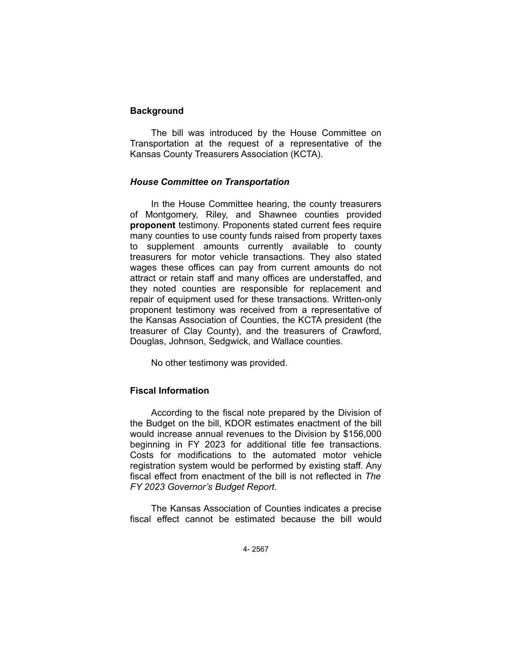## **Background**

The bill was introduced by the House Committee on Transportation at the request of a representative of the Kansas County Treasurers Association (KCTA).

# *House Committee on Transportation*

In the House Committee hearing, the county treasurers of Montgomery, Riley, and Shawnee counties provided **proponent** testimony. Proponents stated current fees require many counties to use county funds raised from property taxes to supplement amounts currently available to county treasurers for motor vehicle transactions. They also stated wages these offices can pay from current amounts do not attract or retain staff and many offices are understaffed, and they noted counties are responsible for replacement and repair of equipment used for these transactions. Written-only proponent testimony was received from a representative of the Kansas Association of Counties, the KCTA president (the treasurer of Clay County), and the treasurers of Crawford, Douglas, Johnson, Sedgwick, and Wallace counties.

No other testimony was provided.

## **Fiscal Information**

According to the fiscal note prepared by the Division of the Budget on the bill, KDOR estimates enactment of the bill would increase annual revenues to the Division by \$156,000 beginning in FY 2023 for additional title fee transactions. Costs for modifications to the automated motor vehicle registration system would be performed by existing staff. Any fiscal effect from enactment of the bill is not reflected in *The FY 2023 Governor's Budget Report*.

The Kansas Association of Counties indicates a precise fiscal effect cannot be estimated because the bill would